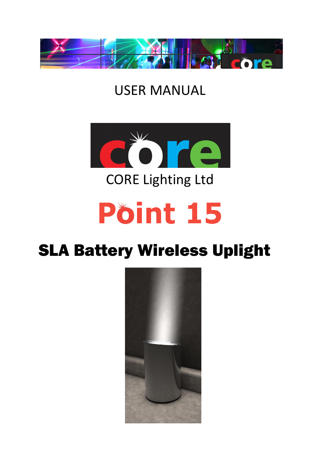

# USER MANUAL



CORE Lighting Ltd

# Pöint 15

# SLA Battery Wireless Uplight

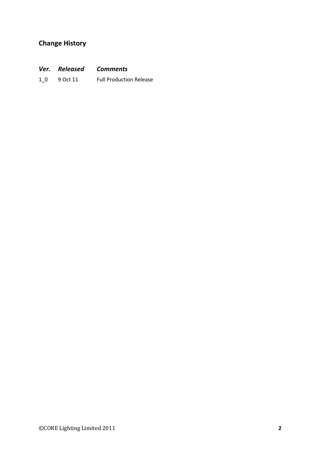# Change History

| <b>Comments</b> |
|-----------------|
|                 |

1\_0 9 Oct 11 Full Production Release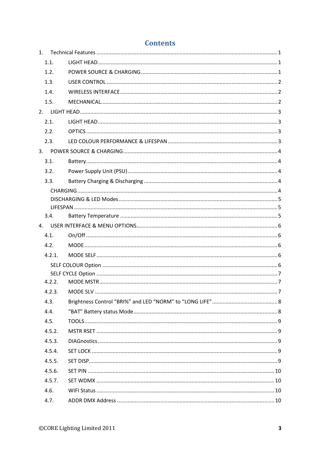| 1.1.   |  |
|--------|--|
| 1.2.   |  |
| 1.3.   |  |
| 1.4.   |  |
| 1.5.   |  |
|        |  |
| 2.1.   |  |
| 2.2.   |  |
| 2.3.   |  |
|        |  |
| 3.1.   |  |
| 3.2.   |  |
| 3.3.   |  |
|        |  |
|        |  |
|        |  |
| 3.4.   |  |
|        |  |
| 4.1.   |  |
| 4.2.   |  |
| 4.2.1. |  |
|        |  |
| 4.2.2. |  |
|        |  |
| 4.3.   |  |
| 4.4.   |  |
| 4.5.   |  |
| 4.5.2. |  |
| 4.5.3. |  |
| 4.5.4. |  |
|        |  |
| 4.5.5. |  |
| 4.5.6. |  |
| 4.5.7. |  |
| 4.6.   |  |
| 4.7.   |  |

# **Contents**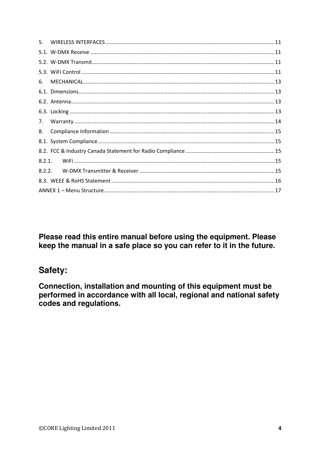| 6.     |  |
|--------|--|
|        |  |
|        |  |
|        |  |
| 7.     |  |
|        |  |
| 8.     |  |
|        |  |
|        |  |
| 8.2.1. |  |
| 8.2.2. |  |
|        |  |

Please read this entire manual before using the equipment. Please keep the manual in a safe place so you can refer to it in the future.

# Safety:

Connection, installation and mounting of this equipment must be performed in accordance with all local, regional and national safety codes and regulations.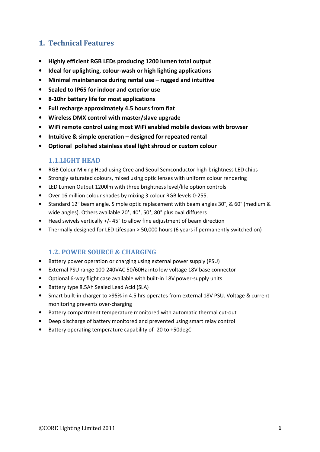# 1. Technical Features

- Highly efficient RGB LEDs producing 1200 lumen total output
- Ideal for uplighting, colour-wash or high lighting applications
- Minimal maintenance during rental use rugged and intuitive
- Sealed to IP65 for indoor and exterior use
- 8-10hr battery life for most applications
- Full recharge approximately 4.5 hours from flat
- Wireless DMX control with master/slave upgrade
- WiFi remote control using most WiFi enabled mobile devices with browser
- Intuitive & simple operation designed for repeated rental
- Optional polished stainless steel light shroud or custom colour

#### 1.1.LIGHT HEAD

- RGB Colour Mixing Head using Cree and Seoul Semconductor high-brightness LED chips
- Strongly saturated colours, mixed using optic lenses with uniform colour rendering
- LED Lumen Output 1200lm with three brightness level/life option controls
- Over 16 million colour shades by mixing 3 colour RGB levels 0-255.
- Standard 12° beam angle. Simple optic replacement with beam angles 30°, & 60° (medium & wide angles). Others available 20°, 40°, 50°, 80° plus oval diffusers
- Head swivels vertically +/- 45° to allow fine adjustment of beam direction
- Thermally designed for LED Lifespan > 50,000 hours (6 years if permanently switched on)

# 1.2. POWER SOURCE & CHARGING

- Battery power operation or charging using external power supply (PSU)
- External PSU range 100-240VAC 50/60Hz into low voltage 18V base connector
- Optional 6-way flight case available with built-in 18V power-supply units
- Battery type 8.5Ah Sealed Lead Acid (SLA)
- Smart built-in charger to >95% in 4.5 hrs operates from external 18V PSU. Voltage & current monitoring prevents over-charging
- Battery compartment temperature monitored with automatic thermal cut-out
- Deep discharge of battery monitored and prevented using smart relay control
- Battery operating temperature capability of -20 to +50degC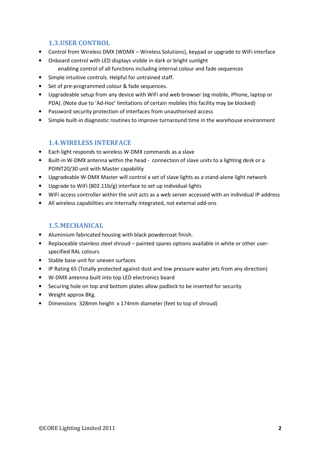#### 1.3.USER CONTROL

- Control from Wireless DMX (WDMX Wireless Solutions), keypad or upgrade to WiFi interface
- Onboard control with LED displays visible in dark or bright sunlight enabling control of all functions including internal colour and fade sequences
- Simple intuitive controls. Helpful for untrained staff.
- Set of pre-programmed colour & fade sequences.
- Upgradeable setup from any device with WiFi and web browser (eg mobile, iPhone, laptop or PDA). (Note due to 'Ad-Hoc' limitations of certain mobiles this facility may be blocked)
- Password security protection of interfaces from unauthorised access
- Simple built-in diagnostic routines to improve turnaround time in the warehouse environment

#### 1.4.WIRELESS INTERFACE

- Each light responds to wireless W-DMX commands as a slave
- Built-in W-DMX antenna within the head connection of slave units to a lighting desk or a POINT20/30 unit with Master capability
- Upgradeable W-DMX Master will control a set of slave lights as a stand-alone light network
- Upgrade to WiFi (802.11b/g) interface to set up individual lights
- WiFi access controller within the unit acts as a web server accessed with an individual IP address
- All wireless capabilities are internally integrated, not external add-ons

#### 1.5.MECHANICAL

- Aluminium fabricated housing with black powdercoat finish.
- Replaceable stainless steel shroud painted spares options available in white or other userspecified RAL colours
- Stable base unit for uneven surfaces
- IP Rating 65 (Totally protected against dust and low pressure water jets from any direction)
- W-DMX antenna built into top LED electronics board
- Securing hole on top and bottom plates allow padlock to be inserted for security
- Weight approx 8Kg.
- Dimensions 328mm height x 174mm diameter (feet to top of shroud)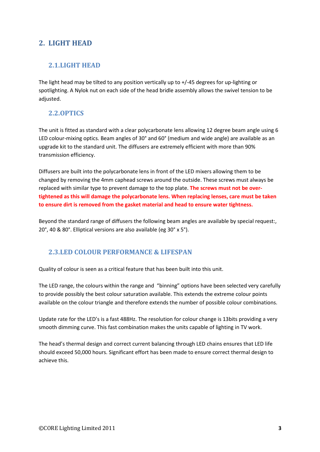# 2. LIGHT HEAD

# 2.1.LIGHT HEAD

The light head may be tilted to any position vertically up to +/-45 degrees for up-lighting or spotlighting. A Nylok nut on each side of the head bridle assembly allows the swivel tension to be adiusted.

# 2.2.OPTICS

The unit is fitted as standard with a clear polycarbonate lens allowing 12 degree beam angle using 6 LED colour-mixing optics. Beam angles of 30° and 60° (medium and wide angle) are available as an upgrade kit to the standard unit. The diffusers are extremely efficient with more than 90% transmission efficiency.

Diffusers are built into the polycarbonate lens in front of the LED mixers allowing them to be changed by removing the 4mm caphead screws around the outside. These screws must always be replaced with similar type to prevent damage to the top plate. The screws must not be overtightened as this will damage the polycarbonate lens. When replacing lenses, care must be taken to ensure dirt is removed from the gasket material and head to ensure water tightness.

Beyond the standard range of diffusers the following beam angles are available by special request:, 20°, 40 & 80°. Elliptical versions are also available (eg 30° x 5°).

# 2.3.LED COLOUR PERFORMANCE & LIFESPAN

Quality of colour is seen as a critical feature that has been built into this unit.

The LED range, the colours within the range and "binning" options have been selected very carefully to provide possibly the best colour saturation available. This extends the extreme colour points available on the colour triangle and therefore extends the number of possible colour combinations.

Update rate for the LED's is a fast 488Hz. The resolution for colour change is 13bits providing a very smooth dimming curve. This fast combination makes the units capable of lighting in TV work.

The head's thermal design and correct current balancing through LED chains ensures that LED life should exceed 50,000 hours. Significant effort has been made to ensure correct thermal design to achieve this.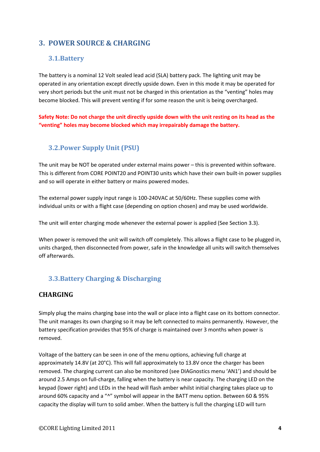# 3. POWER SOURCE & CHARGING

# 3.1.Battery

The battery is a nominal 12 Volt sealed lead acid (SLA) battery pack. The lighting unit may be operated in any orientation except directly upside down. Even in this mode it may be operated for very short periods but the unit must not be charged in this orientation as the "venting" holes may become blocked. This will prevent venting if for some reason the unit is being overcharged.

Safety Note: Do not charge the unit directly upside down with the unit resting on its head as the "venting" holes may become blocked which may irrepairably damage the battery.

# 3.2.Power Supply Unit (PSU)

The unit may be NOT be operated under external mains power – this is prevented within software. This is different from CORE POINT20 and POINT30 units which have their own built-in power supplies and so will operate in either battery or mains powered modes.

The external power supply input range is 100-240VAC at 50/60Hz. These supplies come with individual units or with a flight case (depending on option chosen) and may be used worldwide.

The unit will enter charging mode whenever the external power is applied (See Section 3.3).

When power is removed the unit will switch off completely. This allows a flight case to be plugged in, units charged, then disconnected from power, safe in the knowledge all units will switch themselves off afterwards.

# 3.3.Battery Charging & Discharging

# **CHARGING**

Simply plug the mains charging base into the wall or place into a flight case on its bottom connector. The unit manages its own charging so it may be left connected to mains permanently. However, the battery specification provides that 95% of charge is maintained over 3 months when power is removed.

Voltage of the battery can be seen in one of the menu options, achieving full charge at approximately 14.8V (at 20°C). This will fall approximately to 13.8V once the charger has been removed. The charging current can also be monitored (see DIAGnostics menu 'AN1') and should be around 2.5 Amps on full-charge, falling when the battery is near capacity. The charging LED on the keypad (lower right) and LEDs in the head will flash amber whilst initial charging takes place up to around 60% capacity and a "^" symbol will appear in the BATT menu option. Between 60 & 95% capacity the display will turn to solid amber. When the battery is full the charging LED will turn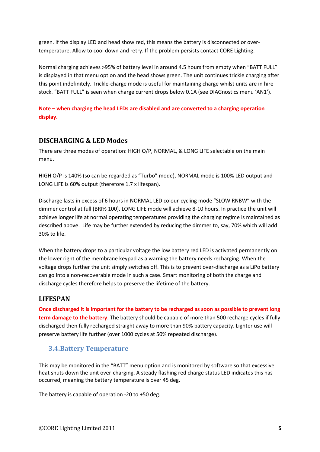green. If the display LED and head show red, this means the battery is disconnected or overtemperature. Allow to cool down and retry. If the problem persists contact CORE Lighting.

Normal charging achieves >95% of battery level in around 4.5 hours from empty when "BATT FULL" is displayed in that menu option and the head shows green. The unit continues trickle charging after this point indefinitely. Trickle-charge mode is useful for maintaining charge whilst units are in hire stock. "BATT FULL" is seen when charge current drops below 0.1A (see DIAGnostics menu 'AN1').

#### Note – when charging the head LEDs are disabled and are converted to a charging operation display.

# DISCHARGING & LED Modes

There are three modes of operation: HIGH O/P, NORMAL, & LONG LIFE selectable on the main menu.

HIGH O/P is 140% (so can be regarded as "Turbo" mode), NORMAL mode is 100% LED output and LONG LIFE is 60% output (therefore 1.7 x lifespan).

Discharge lasts in excess of 6 hours in NORMAL LED colour-cycling mode "SLOW RNBW" with the dimmer control at full (BRI% 100). LONG LIFE mode will achieve 8-10 hours. In practice the unit will achieve longer life at normal operating temperatures providing the charging regime is maintained as described above. Life may be further extended by reducing the dimmer to, say, 70% which will add 30% to life.

When the battery drops to a particular voltage the low battery red LED is activated permanently on the lower right of the membrane keypad as a warning the battery needs recharging. When the voltage drops further the unit simply switches off. This is to prevent over-discharge as a LiPo battery can go into a non-recoverable mode in such a case. Smart monitoring of both the charge and discharge cycles therefore helps to preserve the lifetime of the battery.

#### LIFESPAN

Once discharged it is important for the battery to be recharged as soon as possible to prevent long term damage to the battery. The battery should be capable of more than 500 recharge cycles if fully discharged then fully recharged straight away to more than 90% battery capacity. Lighter use will preserve battery life further (over 1000 cycles at 50% repeated discharge).

# 3.4.Battery Temperature

This may be monitored in the "BATT" menu option and is monitored by software so that excessive heat shuts down the unit over-charging. A steady flashing red charge status LED indicates this has occurred, meaning the battery temperature is over 45 deg.

The battery is capable of operation -20 to +50 deg.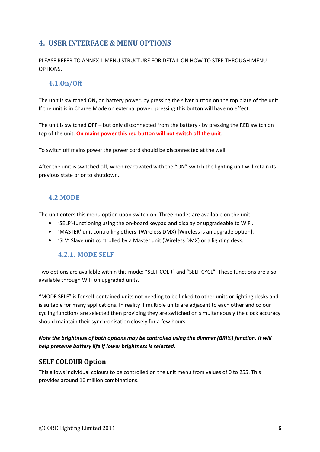# 4. USER INTERFACE & MENU OPTIONS

PLEASE REFER TO ANNEX 1 MENU STRUCTURE FOR DETAIL ON HOW TO STEP THROUGH MENU OPTIONS.

# 4.1.On/Off

The unit is switched ON, on battery power, by pressing the silver button on the top plate of the unit. If the unit is in Charge Mode on external power, pressing this button will have no effect.

The unit is switched OFF – but only disconnected from the battery - by pressing the RED switch on top of the unit. On mains power this red button will not switch off the unit.

To switch off mains power the power cord should be disconnected at the wall.

After the unit is switched off, when reactivated with the "ON" switch the lighting unit will retain its previous state prior to shutdown.

#### 4.2.MODE

The unit enters this menu option upon switch-on. Three modes are available on the unit:

- 'SELF'-functioning using the on-board keypad and display or upgradeable to WiFi.
- 'MASTER' unit controlling others (Wireless DMX) [Wireless is an upgrade option].
- 'SLV' Slave unit controlled by a Master unit (Wireless DMX) or a lighting desk.

#### 4.2.1. MODE SELF

Two options are available within this mode: "SELF COLR" and "SELF CYCL". These functions are also available through WiFi on upgraded units.

"MODE SELF" is for self-contained units not needing to be linked to other units or lighting desks and is suitable for many applications. In reality if multiple units are adjacent to each other and colour cycling functions are selected then providing they are switched on simultaneously the clock accuracy should maintain their synchronisation closely for a few hours.

#### Note the brightness of both options may be controlled using the dimmer (BRI%) function. It will help preserve battery life if lower brightness is selected.

#### SELF COLOUR Option

This allows individual colours to be controlled on the unit menu from values of 0 to 255. This provides around 16 million combinations.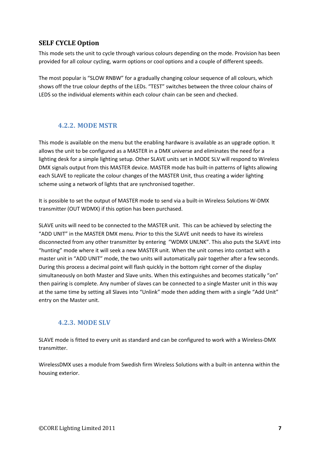# SELF CYCLE Option

This mode sets the unit to cycle through various colours depending on the mode. Provision has been provided for all colour cycling, warm options or cool options and a couple of different speeds.

The most popular is "SLOW RNBW" for a gradually changing colour sequence of all colours, which shows off the true colour depths of the LEDs. "TEST" switches between the three colour chains of LEDS so the individual elements within each colour chain can be seen and checked.

# 4.2.2. MODE MSTR

This mode is available on the menu but the enabling hardware is available as an upgrade option. It allows the unit to be configured as a MASTER in a DMX universe and eliminates the need for a lighting desk for a simple lighting setup. Other SLAVE units set in MODE SLV will respond to Wireless DMX signals output from this MASTER device. MASTER mode has built-in patterns of lights allowing each SLAVE to replicate the colour changes of the MASTER Unit, thus creating a wider lighting scheme using a network of lights that are synchronised together.

It is possible to set the output of MASTER mode to send via a built-in Wireless Solutions W-DMX transmitter (OUT WDMX) if this option has been purchased.

SLAVE units will need to be connected to the MASTER unit. This can be achieved by selecting the "ADD UNIT" in the MASTER DMX menu. Prior to this the SLAVE unit needs to have its wireless disconnected from any other transmitter by entering "WDMX UNLNK". This also puts the SLAVE into "hunting" mode where it will seek a new MASTER unit. When the unit comes into contact with a master unit in "ADD UNIT" mode, the two units will automatically pair together after a few seconds. During this process a decimal point will flash quickly in the bottom right corner of the display simultaneously on both Master and Slave units. When this extinguishes and becomes statically "on" then pairing is complete. Any number of slaves can be connected to a single Master unit in this way at the same time by setting all Slaves into "Unlink" mode then adding them with a single "Add Unit" entry on the Master unit.

# 4.2.3. MODE SLV

SLAVE mode is fitted to every unit as standard and can be configured to work with a Wireless-DMX transmitter.

WirelessDMX uses a module from Swedish firm Wireless Solutions with a built-in antenna within the housing exterior.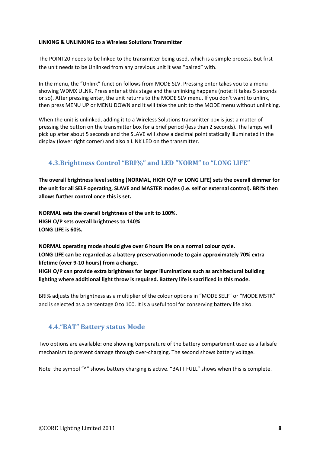#### LINKING & UNLINKING to a Wireless Solutions Transmitter

The POINT20 needs to be linked to the transmitter being used, which is a simple process. But first the unit needs to be Unlinked from any previous unit it was "paired" with.

In the menu, the "Unlink" function follows from MODE SLV. Pressing enter takes you to a menu showing WDMX ULNK. Press enter at this stage and the unlinking happens (note: it takes 5 seconds or so). After pressing enter, the unit returns to the MODE SLV menu. If you don't want to unlink, then press MENU UP or MENU DOWN and it will take the unit to the MODE menu without unlinking.

When the unit is unlinked, adding it to a Wireless Solutions transmitter box is just a matter of pressing the button on the transmitter box for a brief period (less than 2 seconds). The lamps will pick up after about 5 seconds and the SLAVE will show a decimal point statically illuminated in the display (lower right corner) and also a LINK LED on the transmitter.

# 4.3.Brightness Control "BRI%" and LED "NORM" to "LONG LIFE"

The overall brightness level setting (NORMAL, HIGH O/P or LONG LIFE) sets the overall dimmer for the unit for all SELF operating, SLAVE and MASTER modes (i.e. self or external control). BRI% then allows further control once this is set.

NORMAL sets the overall brightness of the unit to 100%. HIGH O/P sets overall brightness to 140% LONG LIFE is 60%.

NORMAL operating mode should give over 6 hours life on a normal colour cycle. LONG LIFE can be regarded as a battery preservation mode to gain approximately 70% extra lifetime (over 9-10 hours) from a charge.

HIGH O/P can provide extra brightness for larger illuminations such as architectural building lighting where additional light throw is required. Battery life is sacrificed in this mode.

BRI% adjusts the brightness as a multiplier of the colour options in "MODE SELF" or "MODE MSTR" and is selected as a percentage 0 to 100. It is a useful tool for conserving battery life also.

# 4.4."BAT" Battery status Mode

Two options are available: one showing temperature of the battery compartment used as a failsafe mechanism to prevent damage through over-charging. The second shows battery voltage.

Note the symbol "^" shows battery charging is active. "BATT FULL" shows when this is complete.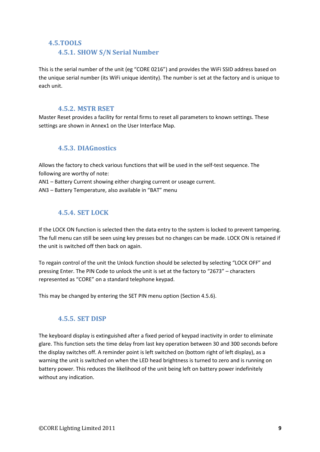#### 4.5.TOOLS

#### 4.5.1. SHOW S/N Serial Number

This is the serial number of the unit (eg "CORE 0216") and provides the WiFi SSID address based on the unique serial number (its WiFi unique identity). The number is set at the factory and is unique to each unit.

#### 4.5.2. MSTR RSET

Master Reset provides a facility for rental firms to reset all parameters to known settings. These settings are shown in Annex1 on the User Interface Map.

#### 4.5.3. DIAGnostics

Allows the factory to check various functions that will be used in the self-test sequence. The following are worthy of note:

AN1 – Battery Current showing either charging current or useage current.

AN3 – Battery Temperature, also available in "BAT" menu

#### 4.5.4. SET LOCK

If the LOCK ON function is selected then the data entry to the system is locked to prevent tampering. The full menu can still be seen using key presses but no changes can be made. LOCK ON is retained if the unit is switched off then back on again.

To regain control of the unit the Unlock function should be selected by selecting "LOCK OFF" and pressing Enter. The PIN Code to unlock the unit is set at the factory to "2673" – characters represented as "CORE" on a standard telephone keypad.

This may be changed by entering the SET PIN menu option (Section 4.5.6).

#### 4.5.5. SET DISP

The keyboard display is extinguished after a fixed period of keypad inactivity in order to eliminate glare. This function sets the time delay from last key operation between 30 and 300 seconds before the display switches off. A reminder point is left switched on (bottom right of left display), as a warning the unit is switched on when the LED head brightness is turned to zero and is running on battery power. This reduces the likelihood of the unit being left on battery power indefinitely without any indication.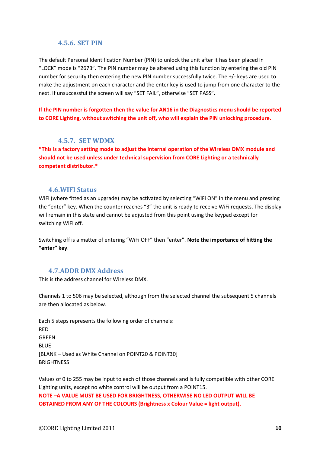#### 4.5.6. SET PIN

The default Personal Identification Number (PIN) to unlock the unit after it has been placed in "LOCK" mode is "2673". The PIN number may be altered using this function by entering the old PIN number for security then entering the new PIN number successfully twice. The +/- keys are used to make the adjustment on each character and the enter key is used to jump from one character to the next. If unsuccessful the screen will say "SET FAIL", otherwise "SET PASS".

If the PIN number is forgotten then the value for AN16 in the Diagnostics menu should be reported to CORE Lighting, without switching the unit off, who will explain the PIN unlocking procedure.

#### 4.5.7. SET WDMX

\*This is a factory setting mode to adjust the internal operation of the Wireless DMX module and should not be used unless under technical supervision from CORE Lighting or a technically competent distributor.\*

#### 4.6.WIFI Status

WiFi (where fitted as an upgrade) may be activated by selecting "WiFi ON" in the menu and pressing the "enter" key. When the counter reaches "3" the unit is ready to receive WiFi requests. The display will remain in this state and cannot be adjusted from this point using the keypad except for switching WiFi off.

Switching off is a matter of entering "WiFi OFF" then "enter". Note the importance of hitting the "enter" key.

#### 4.7.ADDR DMX Address

This is the address channel for Wireless DMX.

Channels 1 to 506 may be selected, although from the selected channel the subsequent 5 channels are then allocated as below.

Each 5 steps represents the following order of channels: RED **GRFFN BLUE** [BLANK – Used as White Channel on POINT20 & POINT30] **BRIGHTNESS** 

Values of 0 to 255 may be input to each of those channels and is fully compatible with other CORE Lighting units, except no white control will be output from a POINT15. NOTE –A VALUE MUST BE USED FOR BRIGHTNESS, OTHERWISE NO LED OUTPUT WILL BE OBTAINED FROM ANY OF THE COLOURS (Brightness x Colour Value = light output).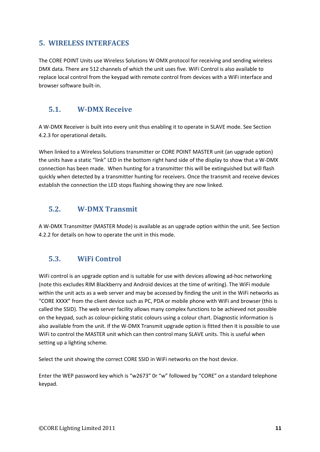# 5. WIRELESS INTERFACES

The CORE POINT Units use Wireless Solutions W-DMX protocol for receiving and sending wireless DMX data. There are 512 channels of which the unit uses five. WiFi Control is also available to replace local control from the keypad with remote control from devices with a WiFi interface and browser software built-in.

# 5.1. W-DMX Receive

A W-DMX Receiver is built into every unit thus enabling it to operate in SLAVE mode. See Section 4.2.3 for operational details.

When linked to a Wireless Solutions transmitter or CORE POINT MASTER unit (an upgrade option) the units have a static "link" LED in the bottom right hand side of the display to show that a W-DMX connection has been made. When hunting for a transmitter this will be extinguished but will flash quickly when detected by a transmitter hunting for receivers. Once the transmit and receive devices establish the connection the LED stops flashing showing they are now linked.

# 5.2. W-DMX Transmit

A W-DMX Transmitter (MASTER Mode) is available as an upgrade option within the unit. See Section 4.2.2 for details on how to operate the unit in this mode.

# 5.3. WiFi Control

WiFi control is an upgrade option and is suitable for use with devices allowing ad-hoc networking (note this excludes RIM Blackberry and Android devices at the time of writing). The WiFi module within the unit acts as a web server and may be accessed by finding the unit in the WiFi networks as "CORE XXXX" from the client device such as PC, PDA or mobile phone with WiFi and browser (this is called the SSID). The web server facility allows many complex functions to be achieved not possible on the keypad, such as colour-picking static colours using a colour chart. Diagnostic information is also available from the unit. If the W-DMX Transmit upgrade option is fitted then it is possible to use WiFi to control the MASTER unit which can then control many SLAVE units. This is useful when setting up a lighting scheme.

Select the unit showing the correct CORE SSID in WiFi networks on the host device.

Enter the WEP password key which is "w2673" 0r "w" followed by "CORE" on a standard telephone keypad.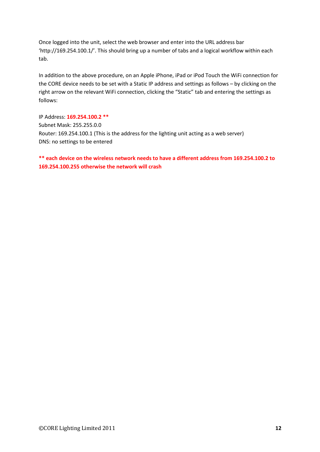Once logged into the unit, select the web browser and enter into the URL address bar 'http://169.254.100.1/'. This should bring up a number of tabs and a logical workflow within each tab.

In addition to the above procedure, on an Apple iPhone, iPad or iPod Touch the WiFi connection for the CORE device needs to be set with a Static IP address and settings as follows – by clicking on the right arrow on the relevant WiFi connection, clicking the "Static" tab and entering the settings as follows:

IP Address: 169.254.100.2 \*\* Subnet Mask: 255.255.0.0 Router: 169.254.100.1 (This is the address for the lighting unit acting as a web server) DNS: no settings to be entered

\*\* each device on the wireless network needs to have a different address from 169.254.100.2 to 169.254.100.255 otherwise the network will crash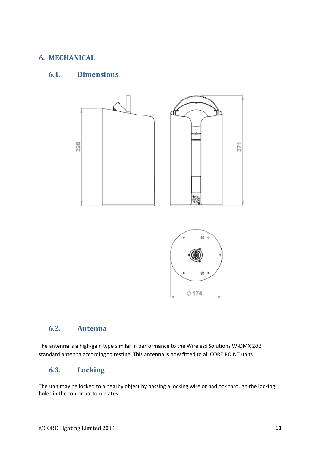# 6. MECHANICAL

# 6.1. Dimensions





# 6.2. Antenna

The antenna is a high-gain type similar in performance to the Wireless Solutions W-DMX 2dB standard antenna according to testing. This antenna is now fitted to all CORE POINT units.

# 6.3. Locking

The unit may be locked to a nearby object by passing a locking wire or padlock through the locking holes in the top or bottom plates.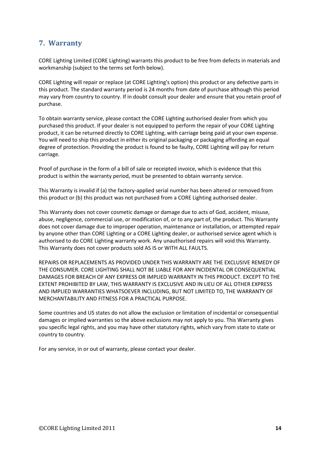# 7. Warranty

CORE Lighting Limited (CORE Lighting) warrants this product to be free from defects in materials and workmanship (subject to the terms set forth below).

CORE Lighting will repair or replace (at CORE Lighting's option) this product or any defective parts in this product. The standard warranty period is 24 months from date of purchase although this period may vary from country to country. If in doubt consult your dealer and ensure that you retain proof of purchase.

To obtain warranty service, please contact the CORE Lighting authorised dealer from which you purchased this product. If your dealer is not equipped to perform the repair of your CORE Lighting product, it can be returned directly to CORE Lighting, with carriage being paid at your own expense. You will need to ship this product in either its original packaging or packaging affording an equal degree of protection. Providing the product is found to be faulty, CORE Lighting will pay for return carriage.

Proof of purchase in the form of a bill of sale or receipted invoice, which is evidence that this product is within the warranty period, must be presented to obtain warranty service.

This Warranty is invalid if (a) the factory-applied serial number has been altered or removed from this product or (b) this product was not purchased from a CORE Lighting authorised dealer.

This Warranty does not cover cosmetic damage or damage due to acts of God, accident, misuse, abuse, negligence, commercial use, or modification of, or to any part of, the product. This Warranty does not cover damage due to improper operation, maintenance or installation, or attempted repair by anyone other than CORE Lighting or a CORE Lighting dealer, or authorised service agent which is authorised to do CORE Lighting warranty work. Any unauthorised repairs will void this Warranty. This Warranty does not cover products sold AS IS or WITH ALL FAULTS.

REPAIRS OR REPLACEMENTS AS PROVIDED UNDER THIS WARRANTY ARE THE EXCLUSIVE REMEDY OF THE CONSUMER. CORE LIGHTING SHALL NOT BE LIABLE FOR ANY INCIDENTAL OR CONSEQUENTIAL DAMAGES FOR BREACH OF ANY EXPRESS OR IMPLIED WARRANTY IN THIS PRODUCT. EXCEPT TO THE EXTENT PROHIBITED BY LAW, THIS WARRANTY IS EXCLUSIVE AND IN LIEU OF ALL OTHER EXPRESS AND IMPLIED WARRANTIES WHATSOEVER INCLUDING, BUT NOT LIMITED TO, THE WARRANTY OF MERCHANTABILITY AND FITNESS FOR A PRACTICAL PURPOSE.

Some countries and US states do not allow the exclusion or limitation of incidental or consequential damages or implied warranties so the above exclusions may not apply to you. This Warranty gives you specific legal rights, and you may have other statutory rights, which vary from state to state or country to country.

For any service, in or out of warranty, please contact your dealer.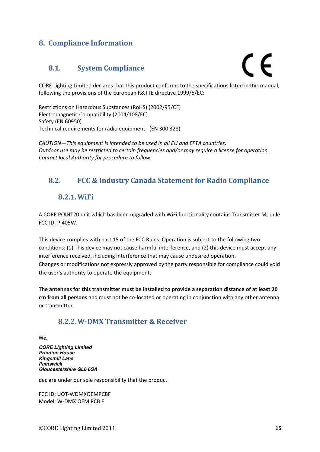# 8. Compliance Information

# 8.1. System Compliance

# C E

CORE Lighting Limited declares that this product conforms to the specifications listed in this manual, following the provisions of the European R&TTE directive 1999/5/EC:

Restrictions on Hazardous Substances (RoHS) (2002/95/CE) Electromagnetic Compatibility (2004/108/EC). Safety (EN 60950) Technical requirements for radio equipment. (EN 300 328)

CAUTION—This equipment is intended to be used in all EU and EFTA countries. Outdoor use may be restricted to certain frequencies and/or may require a license for operation. Contact local Authority for procedure to follow.

# 8.2. FCC & Industry Canada Statement for Radio Compliance

# 8.2.1.WiFi

A CORE POINT20 unit which has been upgraded with WiFi functionality contains Transmitter Module FCC ID: PI405W.

This device complies with part 15 of the FCC Rules. Operation is subject to the following two conditions: (1) This device may not cause harmful interference, and (2) this device must accept any interference received, including interference that may cause undesired operation. Changes or modifications not expressly approved by the party responsible for compliance could void the user's authority to operate the equipment.

The antennas for this transmitter must be installed to provide a separation distance of at least 20 cm from all persons and must not be co-located or operating in conjunction with any other antenna or transmitter.

# 8.2.2.W-DMX Transmitter & Receiver

We,

**CORE Lighting Limited Prindion House Kingsmill Lane Painswick Gloucestershire GL6 6SA** 

declare under our sole responsibility that the product

FCC ID: UQT-WDMXOEMPCBF Model: W-DMX OEM PCB F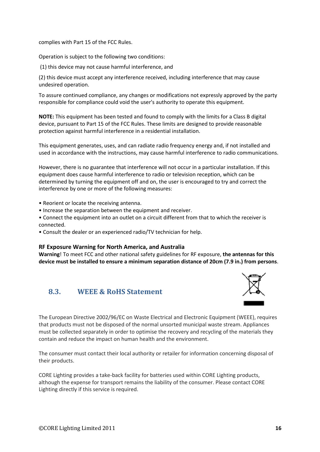complies with Part 15 of the FCC Rules.

Operation is subject to the following two conditions:

(1) this device may not cause harmful interference, and

(2) this device must accept any interference received, including interference that may cause undesired operation.

To assure continued compliance, any changes or modifications not expressly approved by the party responsible for compliance could void the user's authority to operate this equipment.

NOTE: This equipment has been tested and found to comply with the limits for a Class B digital device, pursuant to Part 15 of the FCC Rules. These limits are designed to provide reasonable protection against harmful interference in a residential installation.

This equipment generates, uses, and can radiate radio frequency energy and, if not installed and used in accordance with the instructions, may cause harmful interference to radio communications.

However, there is no guarantee that interference will not occur in a particular installation. If this equipment does cause harmful interference to radio or television reception, which can be determined by turning the equipment off and on, the user is encouraged to try and correct the interference by one or more of the following measures:

- Reorient or locate the receiving antenna.
- Increase the separation between the equipment and receiver.
- Connect the equipment into an outlet on a circuit different from that to which the receiver is connected.
- Consult the dealer or an experienced radio/TV technician for help.

#### RF Exposure Warning for North America, and Australia

Warning! To meet FCC and other national safety guidelines for RF exposure, the antennas for this device must be installed to ensure a minimum separation distance of 20cm (7.9 in.) from persons.

# 8.3. WEEE & RoHS Statement



The European Directive 2002/96/EC on Waste Electrical and Electronic Equipment (WEEE), requires that products must not be disposed of the normal unsorted municipal waste stream. Appliances must be collected separately in order to optimise the recovery and recycling of the materials they contain and reduce the impact on human health and the environment.

The consumer must contact their local authority or retailer for information concerning disposal of their products.

CORE Lighting provides a take-back facility for batteries used within CORE Lighting products, although the expense for transport remains the liability of the consumer. Please contact CORE Lighting directly if this service is required.